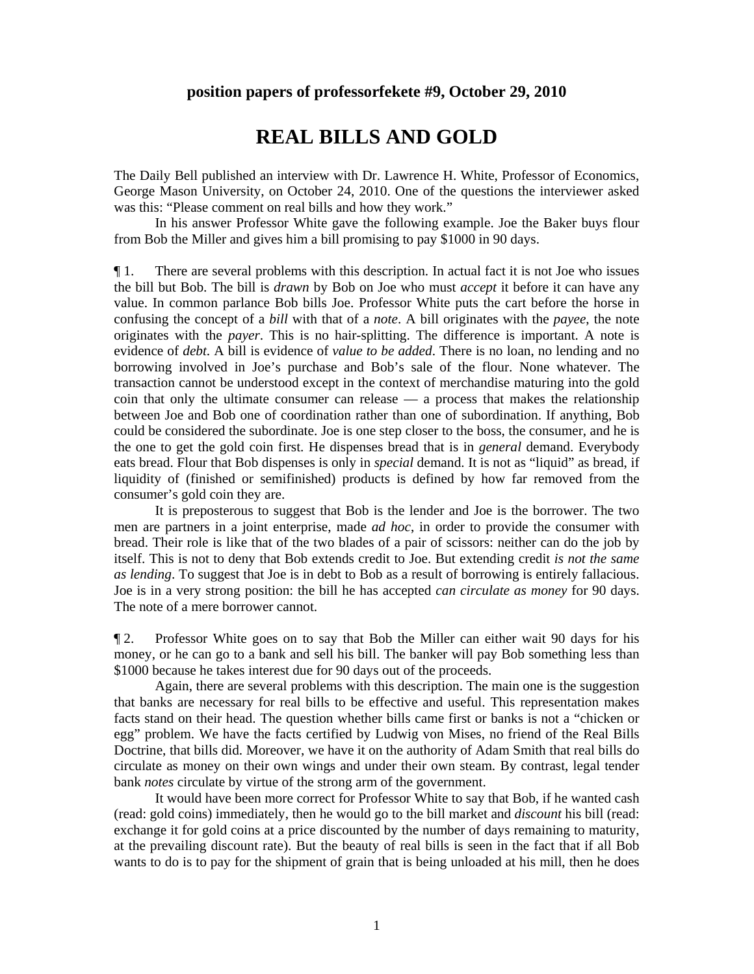## **position papers of professorfekete #9, October 29, 2010**

## **REAL BILLS AND GOLD**

The Daily Bell published an interview with Dr. Lawrence H. White, Professor of Economics, George Mason University, on October 24, 2010. One of the questions the interviewer asked was this: "Please comment on real bills and how they work."

 In his answer Professor White gave the following example. Joe the Baker buys flour from Bob the Miller and gives him a bill promising to pay \$1000 in 90 days.

¶ 1. There are several problems with this description. In actual fact it is not Joe who issues the bill but Bob. The bill is *drawn* by Bob on Joe who must *accept* it before it can have any value. In common parlance Bob bills Joe. Professor White puts the cart before the horse in confusing the concept of a *bill* with that of a *note*. A bill originates with the *payee*, the note originates with the *payer*. This is no hair-splitting. The difference is important. A note is evidence of *debt*. A bill is evidence of *value to be added*. There is no loan, no lending and no borrowing involved in Joe's purchase and Bob's sale of the flour. None whatever. The transaction cannot be understood except in the context of merchandise maturing into the gold coin that only the ultimate consumer can release — a process that makes the relationship between Joe and Bob one of coordination rather than one of subordination. If anything, Bob could be considered the subordinate. Joe is one step closer to the boss, the consumer, and he is the one to get the gold coin first. He dispenses bread that is in *general* demand. Everybody eats bread. Flour that Bob dispenses is only in *special* demand. It is not as "liquid" as bread, if liquidity of (finished or semifinished) products is defined by how far removed from the consumer's gold coin they are.

 It is preposterous to suggest that Bob is the lender and Joe is the borrower. The two men are partners in a joint enterprise, made *ad hoc*, in order to provide the consumer with bread. Their role is like that of the two blades of a pair of scissors: neither can do the job by itself. This is not to deny that Bob extends credit to Joe. But extending credit *is not the same as lending*. To suggest that Joe is in debt to Bob as a result of borrowing is entirely fallacious. Joe is in a very strong position: the bill he has accepted *can circulate as money* for 90 days. The note of a mere borrower cannot.

¶ 2. Professor White goes on to say that Bob the Miller can either wait 90 days for his money, or he can go to a bank and sell his bill. The banker will pay Bob something less than \$1000 because he takes interest due for 90 days out of the proceeds.

 Again, there are several problems with this description. The main one is the suggestion that banks are necessary for real bills to be effective and useful. This representation makes facts stand on their head. The question whether bills came first or banks is not a "chicken or egg" problem. We have the facts certified by Ludwig von Mises, no friend of the Real Bills Doctrine, that bills did. Moreover, we have it on the authority of Adam Smith that real bills do circulate as money on their own wings and under their own steam. By contrast, legal tender bank *notes* circulate by virtue of the strong arm of the government.

 It would have been more correct for Professor White to say that Bob, if he wanted cash (read: gold coins) immediately, then he would go to the bill market and *discount* his bill (read: exchange it for gold coins at a price discounted by the number of days remaining to maturity, at the prevailing discount rate). But the beauty of real bills is seen in the fact that if all Bob wants to do is to pay for the shipment of grain that is being unloaded at his mill, then he does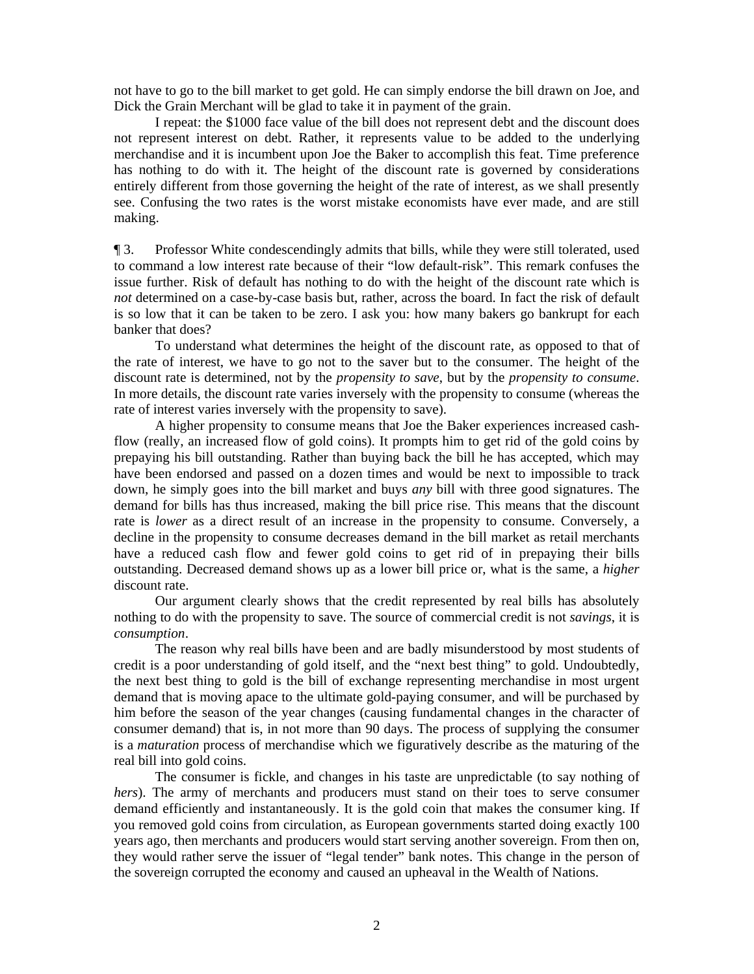not have to go to the bill market to get gold. He can simply endorse the bill drawn on Joe, and Dick the Grain Merchant will be glad to take it in payment of the grain.

 I repeat: the \$1000 face value of the bill does not represent debt and the discount does not represent interest on debt. Rather, it represents value to be added to the underlying merchandise and it is incumbent upon Joe the Baker to accomplish this feat. Time preference has nothing to do with it. The height of the discount rate is governed by considerations entirely different from those governing the height of the rate of interest, as we shall presently see. Confusing the two rates is the worst mistake economists have ever made, and are still making.

¶ 3. Professor White condescendingly admits that bills, while they were still tolerated, used to command a low interest rate because of their "low default-risk". This remark confuses the issue further. Risk of default has nothing to do with the height of the discount rate which is *not* determined on a case-by-case basis but, rather, across the board. In fact the risk of default is so low that it can be taken to be zero. I ask you: how many bakers go bankrupt for each banker that does?

 To understand what determines the height of the discount rate, as opposed to that of the rate of interest, we have to go not to the saver but to the consumer. The height of the discount rate is determined, not by the *propensity to save*, but by the *propensity to consume*. In more details, the discount rate varies inversely with the propensity to consume (whereas the rate of interest varies inversely with the propensity to save).

 A higher propensity to consume means that Joe the Baker experiences increased cashflow (really, an increased flow of gold coins). It prompts him to get rid of the gold coins by prepaying his bill outstanding. Rather than buying back the bill he has accepted, which may have been endorsed and passed on a dozen times and would be next to impossible to track down, he simply goes into the bill market and buys *any* bill with three good signatures. The demand for bills has thus increased, making the bill price rise. This means that the discount rate is *lower* as a direct result of an increase in the propensity to consume. Conversely, a decline in the propensity to consume decreases demand in the bill market as retail merchants have a reduced cash flow and fewer gold coins to get rid of in prepaying their bills outstanding. Decreased demand shows up as a lower bill price or, what is the same, a *higher* discount rate.

 Our argument clearly shows that the credit represented by real bills has absolutely nothing to do with the propensity to save. The source of commercial credit is not *savings*, it is *consumption*.

 The reason why real bills have been and are badly misunderstood by most students of credit is a poor understanding of gold itself, and the "next best thing" to gold. Undoubtedly, the next best thing to gold is the bill of exchange representing merchandise in most urgent demand that is moving apace to the ultimate gold-paying consumer, and will be purchased by him before the season of the year changes (causing fundamental changes in the character of consumer demand) that is, in not more than 90 days. The process of supplying the consumer is a *maturation* process of merchandise which we figuratively describe as the maturing of the real bill into gold coins.

 The consumer is fickle, and changes in his taste are unpredictable (to say nothing of *hers*). The army of merchants and producers must stand on their toes to serve consumer demand efficiently and instantaneously. It is the gold coin that makes the consumer king. If you removed gold coins from circulation, as European governments started doing exactly 100 years ago, then merchants and producers would start serving another sovereign. From then on, they would rather serve the issuer of "legal tender" bank notes. This change in the person of the sovereign corrupted the economy and caused an upheaval in the Wealth of Nations.